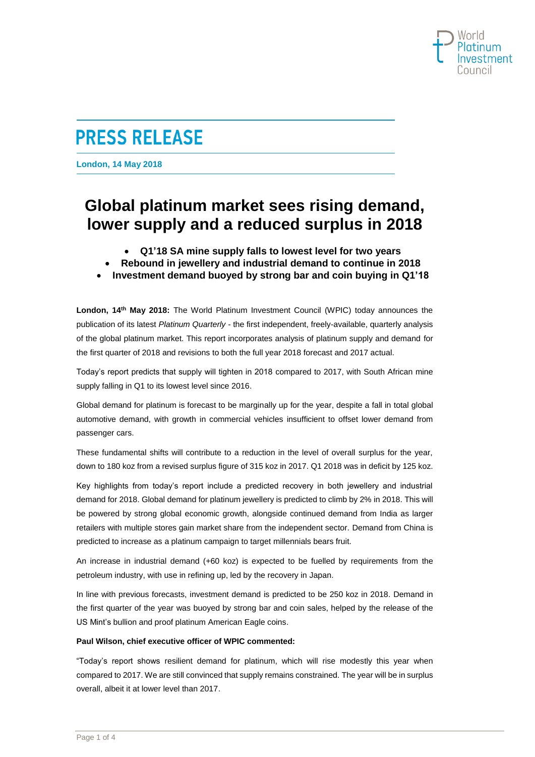

**London, 14 May 2018**

# **Global platinum market sees rising demand, lower supply and a reduced surplus in 2018**

- **Q1'18 SA mine supply falls to lowest level for two years**
- **Rebound in jewellery and industrial demand to continue in 2018**
- **Investment demand buoyed by strong bar and coin buying in Q1'18**

**London, 14th May 2018:** The World Platinum Investment Council (WPIC) today announces the publication of its latest *Platinum Quarterly* - the first independent, freely-available, quarterly analysis of the global platinum market. This report incorporates analysis of platinum supply and demand for the first quarter of 2018 and revisions to both the full year 2018 forecast and 2017 actual.

Today's report predicts that supply will tighten in 2018 compared to 2017, with South African mine supply falling in Q1 to its lowest level since 2016.

Global demand for platinum is forecast to be marginally up for the year, despite a fall in total global automotive demand, with growth in commercial vehicles insufficient to offset lower demand from passenger cars.

These fundamental shifts will contribute to a reduction in the level of overall surplus for the year, down to 180 koz from a revised surplus figure of 315 koz in 2017. Q1 2018 was in deficit by 125 koz.

Key highlights from today's report include a predicted recovery in both jewellery and industrial demand for 2018. Global demand for platinum jewellery is predicted to climb by 2% in 2018. This will be powered by strong global economic growth, alongside continued demand from India as larger retailers with multiple stores gain market share from the independent sector. Demand from China is predicted to increase as a platinum campaign to target millennials bears fruit.

An increase in industrial demand (+60 koz) is expected to be fuelled by requirements from the petroleum industry, with use in refining up, led by the recovery in Japan.

In line with previous forecasts, investment demand is predicted to be 250 koz in 2018. Demand in the first quarter of the year was buoyed by strong bar and coin sales, helped by the release of the US Mint's bullion and proof platinum American Eagle coins.

# **Paul Wilson, chief executive officer of WPIC commented:**

"Today's report shows resilient demand for platinum, which will rise modestly this year when compared to 2017. We are still convinced that supply remains constrained. The year will be in surplus overall, albeit it at lower level than 2017.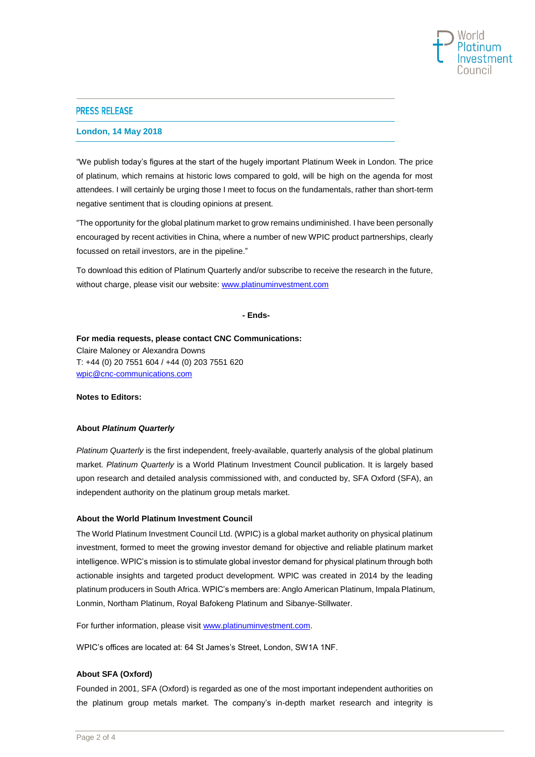

#### **London, 14 May 2018**

"We publish today's figures at the start of the hugely important Platinum Week in London. The price of platinum, which remains at historic lows compared to gold, will be high on the agenda for most attendees. I will certainly be urging those I meet to focus on the fundamentals, rather than short-term negative sentiment that is clouding opinions at present.

"The opportunity for the global platinum market to grow remains undiminished. I have been personally encouraged by recent activities in China, where a number of new WPIC product partnerships, clearly focussed on retail investors, are in the pipeline."

To download this edition of Platinum Quarterly and/or subscribe to receive the research in the future, without charge, please visit our website[: www.platinuminvestment.com](http://www.platinuminvestment.com/)

**- Ends-**

**For media requests, please contact CNC Communications:** Claire Maloney or Alexandra Downs T: +44 (0) 20 7551 604 / +44 (0) 203 7551 620 [wpic@cnc-communications.com](mailto:wpic@cnc-communications.com)

**Notes to Editors:** 

#### **About** *Platinum Quarterly*

*Platinum Quarterly* is the first independent, freely-available, quarterly analysis of the global platinum market. *Platinum Quarterly* is a World Platinum Investment Council publication. It is largely based upon research and detailed analysis commissioned with, and conducted by, SFA Oxford (SFA), an independent authority on th[e platinum group metals](http://www.sfa-oxford.com/SFA-Content-Page.asp?PageID=SFA-Platinum-Metals) market.

#### **About the World Platinum Investment Council**

The World Platinum Investment Council Ltd. (WPIC) is a global market authority on physical platinum investment, formed to meet the growing investor demand for objective and reliable platinum market intelligence. WPIC's mission is to stimulate global investor demand for physical platinum through both actionable insights and targeted product development. WPIC was created in 2014 by the leading platinum producers in South Africa. WPIC's members are: Anglo American Platinum, Impala Platinum, Lonmin, Northam Platinum, Royal Bafokeng Platinum and Sibanye-Stillwater.

For further information, please visit [www.platinuminvestment.com.](http://www.platinuminvestment.com/)

WPIC's offices are located at: 64 St James's Street, London, SW1A 1NF.

#### **About SFA (Oxford)**

Founded in 2001, SFA (Oxford) is regarded as one of the most important independent authorities on the [platinum group metals](http://www.sfa-oxford.com/SFA-Content-Page.asp?PageID=SFA-Platinum-Metals) market. The company's in-depth market research and integrity is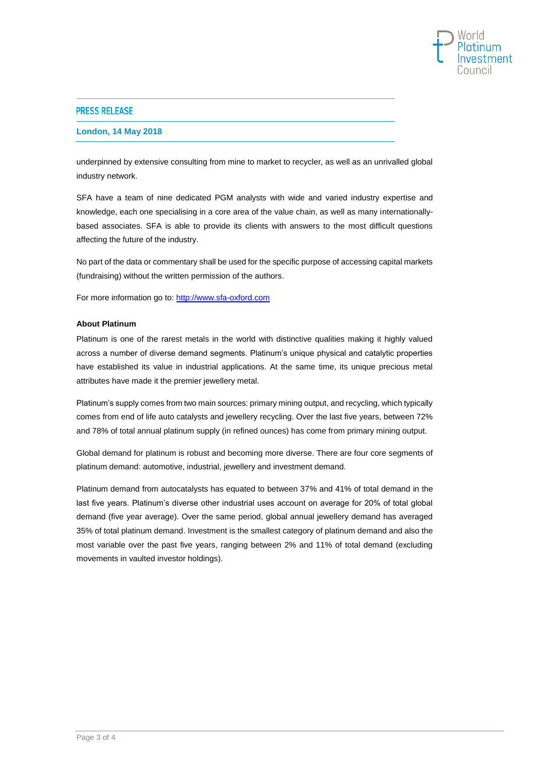

#### **London, 14 May 2018**

underpinned by extensive consulting from mine to market to recycler, as well as an unrivalled global industry network.

SFA have a team of nine [dedicated PGM analysts](http://www.sfa-oxford.com/SFA-the-team.asp) with wide and varied industry expertise and knowledge, each one specialising in a core area of the value chain, as well as many internationallybased associates. SFA is able to provide its clients with answers to the most difficult questions affecting the future of the industry.

No part of the data or commentary shall be used for the specific purpose of accessing capital markets (fundraising) without the written permission of the authors.

For more information go to: [http://www.sfa-oxford.com](http://www.sfa-oxford.com/) 

## **About Platinum**

Platinum is one of the rarest metals in the world with distinctive qualities making it highly valued across a number of diverse demand segments. Platinum's unique physical and catalytic properties have established its value in industrial applications. At the same time, its unique precious metal attributes have made it the premier jewellery metal.

Platinum's supply comes from two main sources: primary mining output, and recycling, which typically comes from end of life auto catalysts and jewellery recycling. Over the last five years, between 72% and 78% of total annual platinum supply (in refined ounces) has come from primary mining output.

Global demand for platinum is robust and becoming more diverse. There are four core segments of platinum demand: automotive, industrial, jewellery and investment demand.

Platinum demand from autocatalysts has equated to between 37% and 41% of total demand in the last five years. Platinum's diverse other industrial uses account on average for 20% of total global demand (five year average). Over the same period, global annual jewellery demand has averaged 35% of total platinum demand. Investment is the smallest category of platinum demand and also the most variable over the past five years, ranging between 2% and 11% of total demand (excluding movements in vaulted investor holdings).